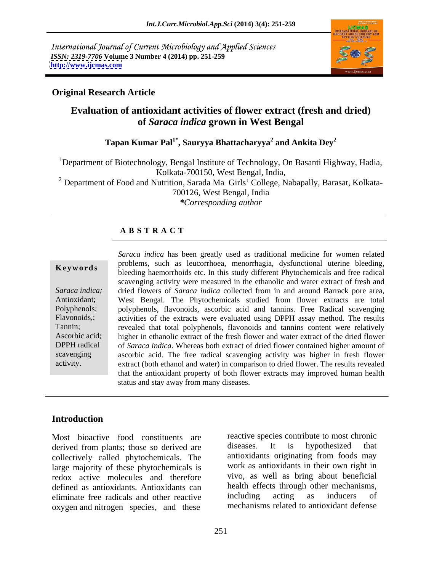International Journal of Current Microbiology and Applied Sciences *ISSN: 2319-7706* **Volume 3 Number 4 (2014) pp. 251-259 <http://www.ijcmas.com>**



### **Original Research Article**

## **Evaluation of antioxidant activities of flower extract (fresh and dried) of** *Saraca indica* **grown in West Bengal**

#### $\bf{T}$ apan Kumar Pal $\bf{1}^*$ , Sauryya Bhattacharyya $\bf{^2}$  and Ankita Dey $\bf{^2}$  **and Ankita Dey<sup>2</sup>**

<sup>1</sup>Department of Biotechnology, Bengal Institute of Technology, On Basanti Highway, Hadia, Kolkata-700150, West Bengal, India, <sup>2</sup> Department of Food and Nutrition, Sarada Ma Girls' College, Nabapally, Barasat, Kolkata-700126, West Bengal, India *\*Corresponding author* 

#### **A B S T R A C T**

**Keywords** bleeding haemorrhoids etc. In this study different Phytochemicals and free radical *Saraca indica;* dried flowers of *Saraca indica* collected from in and around Barrack pore area, Antioxidant; West Bengal. The Phytochemicals studied from flower extracts are total Polyphenols; polyphenols, flavonoids, ascorbic acid and tannins. Free Radical scavenging Flavonoids,; activities of the extracts were evaluated using DPPH assay method. The results Tannin; revealed that total polyphenols, flavonoids and tannins content were relatively Ascorbic acid; higher in ethanolic extract of the fresh flower and water extract of the dried flower DPPH radical of *Saraca indica*. Whereas both extract of dried flower contained higher amount of scavenging ascorbic acid. The free radical scavenging activity was higher in fresh flower Saraca *indica* has been greatly used as traditional medicine for women related<br>
problems, such as leucorrhoea, menorrhagia, dysfunctional uterine bleeding,<br>
bleeding haemorrhoids etc. In this study different Phytochemical problems, such as leucorrhoea, menorrhagia, dysfunctional uterine bleeding, scavenging activity were measured in the ethanolic and water extract of fresh and extract (both ethanol and water) in comparison to dried flower. The results revealed that the antioxidant property of both flower extracts may improved human health status and stay away from many diseases.

### **Introduction**

Most bioactive food constituents are reactive species contribute to most chronic<br>derived from plants: those so derived are diseases. It is hypothesized that derived from plants; those so derived are collectively called phytochemicals. The large majority of these phytochemicals is redox active molecules and therefore defined as antioxidants. Antioxidants can<br>eliminate free radicals and other reactive including acting as inducers of eliminate free radicals and other reactive oxygen and nitrogen species, and these

reactive species contribute to most chronic diseases. It is hypothesized that antioxidants originating from foods may work as antioxidants in their own right in vivo, as well as bring about beneficial health effects through other mechanisms, including acting as inducers of mechanisms related to antioxidant defense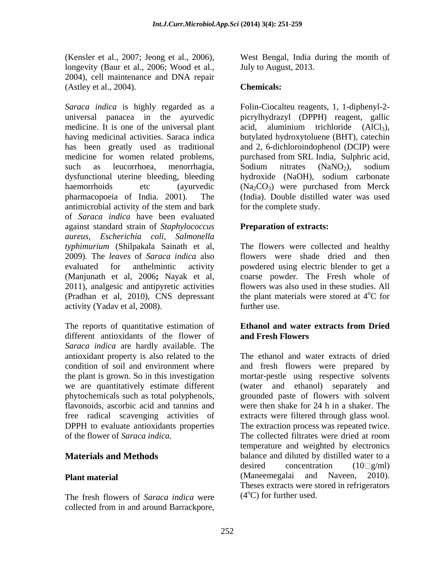(Kensler et al., 2007; Jeong et al., 2006), longevity (Baur et al., 2006; Wood et al., 2004), cell maintenance and DNA repair (Astley et al., 2004).

*Saraca indica* is highly regarded as a Folin-Ciocalteu reagents, 1, 1-diphenyl-2 universal panacea in the ayurvedic picrylhydrazyl (DPPH) reagent, gallic medicine. It is one of the universal plant  $\alpha$  acid, aluminium trichloride  $(AlCl<sub>3</sub>)$ , having medicinal activities. Saraca indica has been greatly used as traditional and 2, 6-dichloroindophenol (DCIP) were medicine for women related problems, purchased from SRL India, Sulphric acid, such as leucorrhoea, menorrhagia, Sodium nitrates (NaNO<sub>2</sub>), sodium dysfunctional uterine bleeding, bleeding bydroxide (NaOH), sodium carbonate haemorrhoids etc (ayurvedic  $(Na_2CO_3)$  were purchased from Merck pharmacopoeia of India. 2001). The (India). Double distilled water was used antimicrobial activity of the stem and bark of *Saraca indica* have been evaluated against standard strain of *Staphylococcus aureus, Escherichia coli*, *Salmonella typhimurium* (Shilpakala Sainath et al, The flowers were collected and healthy 2009). The *leaves* of *Saraca indica* also flowers were shade dried and then evaluated for anthelmintic activity powdered using electric blender to get a (Manjunath et al, 2006**;** Nayak et al, 2011), analgesic and antipyretic activities (Pradhan et al, 2010), CNS depressant activity (Yadav et al, 2008). (Kender et al., 2007; Ionne a al., 2006; West Bengal, India during the month of According the Substitute of According the month of According the month of Channel and DNA repair<br>(Author collections). Channel and DNA repair

The reports of quantitative estimation of **Ethanol and water extracts from Dried** different antioxidants of the flower of **and Fresh Flowers** *Saraca indica* are hardly available. The

The fresh flowers of *Saraca indica* were

July to August, 2013.

### **Chemicals:**

acid, aluminium trichloride (AlCl<sub>3</sub>), butylated hydroxytoluene (BHT), catechin Sodium nitrates  $(NaNO<sub>2</sub>)$ , sodium hydroxide (NaOH), sodium carbonate (Na2CO3) were purchased from Merck for the complete study.

### **Preparation of extracts:**

coarse powder. The Fresh whole of flowers was also used in these studies. All the plant materials were stored at  $4^{\circ}$ C for oC for further use.

### **Ethanoland water extracts from Dried and Fresh Flowers**

antioxidant property is also related to the The ethanol and water extracts of dried condition of soil and environment where and fresh flowers were prepared by the plant is grown. So in this investigation mortar-pestle using respective solvents we are quantitatively estimate different (water and ethanol) separately and phytochemicals such as total polyphenols, grounded paste of flowers with solvent flavonoids, ascorbic acid and tannins and were then shake for 24 h in a shaker. The free radical scavenging activities of extracts were filtered through glass wool. DPPH to evaluate antioxidants properties The extraction process was repeated twice. of the flower of *Saraca indica.* The collected filtrates were dried at room **Materials and Methods** balance and diluted by distilled water to a **Plant material** grounded paste of flowers with solvent were then shake for 24 h in a shaker. The temperature and weighted by electronics desired concentration  $(10 \Box g/ml)$ (Maneemegalai and Naveen, 2010). Theses extracts were stored in refrigerators  $(4^{\circ}C)$  for further used.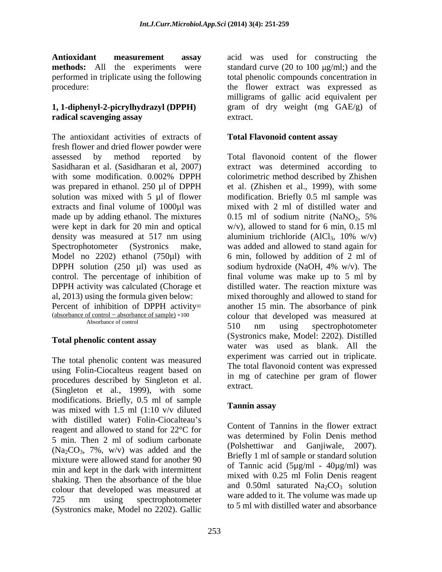performed in triplicate using the following

# **1, 1-diphenyl-2-picrylhydrazyl (DPPH)**

The antioxidant activities of extracts of fresh flower and dried flower powder were assessed by method reported by Total flavonoid content of the flower Sasidharan et al. (Sasidharan et al, 2007) extract was determined according to with some modification. 0.002% DPPH colorimetric method described by Zhishen was prepared in ethanol. 250 µl of DPPH et al. (Zhishen et al., 1999), with some solution was mixed with 5 µl of flower modification. Briefly 0.5 ml sample was extracts and final volume of 1000µl was mixed with 2 ml of distilled water and made up by adding ethanol. The mixtures  $0.15$  ml of sodium nitrite (NaNO<sub>2</sub>, 5%) were kept in dark for 20 min and optical density was measured at 517 nm using aluminium trichloride  $(AICI<sub>3</sub>, 10\% w/v)$ Spectrophotometer (Systronics make, was added and allowed to stand again for Model no 2202) ethanol (750µl) with 6 min, followed by addition of 2 ml of DPPH solution (250 µl) was used as sodium hydroxide (NaOH, 4% w/v). The control. The percentage of inhibition of final volume was make up to 5 ml by DPPH activity was calculated (Chorage et distilled water. The reaction mixture was al, 2013) using the formula given below: mixed thoroughly and allowed to stand for Percent of inhibition of DPPH activity= another 15 min. The absorbance of pink  $\frac{\text{(absorbane of control - absorbance of sample)}{1}} \times 100$  colour that developed was measured at

### **Total phenolic content assay**

The total phenolic content was measured using Folin-Ciocalteus reagent based on procedures described by Singleton et al.  $\frac{m}{2}$  extract. (Singleton et al., 1999), with some modifications. Briefly,  $0.5$  ml of sample<br>we mixed with  $1.5$  ml  $(1.10 \text{ y/y})$  diluted<br>Tannin assay was mixed with 1.5 ml (1:10 v/v diluted with distilled water) Folin-Ciocalteau's reagent and allowed to stand for 22°C for 5 min. Then 2 ml of sodium carbonate  $\frac{1}{2}$  and  $\frac{1}{2}$  and  $\frac{1}{2}$  and  $\frac{1}{2}$  and  $\frac{1}{2}$  and  $\frac{1}{2}$  and  $\frac{1}{2}$  and  $\frac{1}{2}$  and  $\frac{1}{2}$  and  $\frac{1}{2}$  and  $\frac{1}{2}$  and  $\frac{1}{2}$  and  $\frac{1}{2}$  and  $\$  $(Na_2CO_3, 7\%, w/v)$  was added and the (Polshettiwar and Ganjiwale, 2007). mixture were allowed stand for another 90 min and kept in the dark with intermittent shaking. Then the absorbance of the blue colour that developed was measured at 725 nm using spectrophotometer was used to it. The volume was made up (Systronics make, Model no 2202). Gallic

**Antioxidant measurement assay** acid was used for constructing the **methods:** All the experiments were standard curve (20 to 100  $\mu$ g/ml;) and the procedure: the flower extract was expressed as **radical scavenging assay** total phenolic compounds concentration in milligrams of gallic acid equivalent per gram of dry weight (mg GAE/g) of extract.

### **Total Flavonoid content assay**

Absorbance of control  $\overline{r}$  10 colorimetric method described by Zhishen 0.15 ml of sodium nitrite (NaNO<sub>2</sub>, 5%) w/v), allowed to stand for 6 min, 0.15 ml aluminium trichloride (AlCl<sub>3</sub>, 10% w/v) sodium hydroxide (NaOH, 4% w/v). The 510 nm using spectrophotometer (Systronics make, Model: 2202). Distilled water was used as blank. All the experiment was carried out in triplicate. The total flavonoid content was expressed in mg of catechine per gram of flower extract.

#### **Tannin assay**

Content of Tannins in the flower extract was determined by Folin Denis method (Polshettiwar and Ganjiwale, 2007). Briefly 1 ml of sample or standard solution of Tannic acid ( $5\mu$ g/ml -  $40\mu$ g/ml) was mixed with 0.25 ml Folin Denis reagent and 0.50ml saturated  $Na_2CO_3$  solution ware added to it. The volume was made up to 5 ml with distilled water and absorbance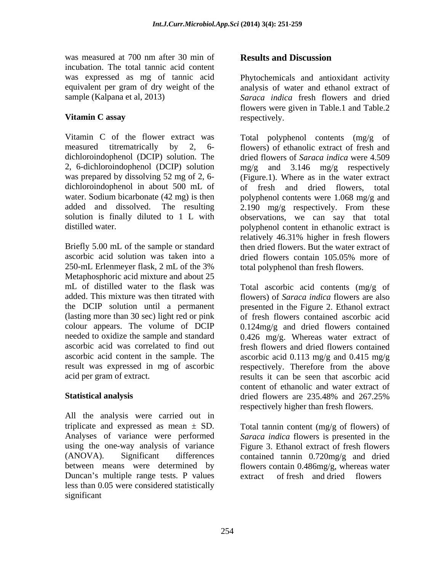was measured at 700 nm after 30 min of **Results and Discussion** incubation. The total tannic acid content

dichloroindophenol (DCIP) solution. The dichloroindophenol in about 500 mL of of fresh and dried flowers, total added and dissolved. The resulting 2.190 mg/g respectively. From these

Briefly 5.00 mL of the sample or standard ascorbic acid solution was taken into a corrected flowers contain 105,05% more of Metaphosphoric acid mixture and about 25 mL of distilled water to the flask was Total ascorbic acid contents (mg/g of added. This mixture was then titrated with flowers) of *Saraca indica* flowers are also the DCIP solution until a permanent presented in the Figure 2. Ethanol extract (lasting more than 30 sec) light red or pink colour appears. The volume of DCIP 0.124mg/g and dried flowers contained needed to oxidize the sample and standard 0.426 mg/g. Whereas water extract of ascorbic acid was correlated to find out ascorbic acid content in the sample. The ascorbic acid 0.113 mg/g and 0.415 mg/g result was expressed in mg of ascorbic respectively. Therefore from the above

All the analysis were carried out in triplicate and expressed as mean  $\pm$  SD. Analyses of variance were performed *Saraca indica* flowers is presented in the using the one-way analysis of variance Figure 3. Ethanol extract of fresh flowers (ANOVA). Significant differences contained tannin 0.720mg/g and dried between means were determined by Duncan's multiple range tests. P values extract of fresh and dried flowers less than 0.05 were considered statistically

was expressed as mg of tannic acid Phytochemicals and antioxidant activity equivalent per gram of dry weight of the analysis of water and ethanol extract of sample (Kalpana et al, 2013) *Saraca indica* fresh flowers and dried **Vitamin C assay** respectively. flowers were given in Table.1 and Table.2 respectively.

Vitamin C of the flower extract was Total polyphenol contents (mg/g of measured titrematrically by 2, 6- flowers) of ethanolic extract of fresh and 2, 6-dichloroindophenol (DCIP) solution mg/g and 3.146 mg/g respectively was prepared by dissolving 52 mg of 2, 6- (Figure.1). Where as in the water extract water. Sodium bicarbonate (42 mg) is then polyphenol contents were 1.068 mg/g and solution is finally diluted to 1 L with observations, we can say that total distilled water. polyphenol content in ethanolic extract is 250-mL Erlenmeyer flask, 2 mL of the 3% total polyphenol than fresh flowers. was repeated at 700 m after 30 min of **Results and Discussion**<br>was repeated at 700 min after 30 min of thy respondents and antifaction reacting<br>equivalent per gram of thy weight of the Physopheral and change equivalent per dried flowers of *Saraca indica* were 4.509 of fresh and dried flowers, 2.190 mg/g respectively. From these relatively 46.31% higher in fresh flowers then dried flowers. But the water extract of dried flowers contain 105.05% more of total polyphenol than fresh flowers.

acid per gram of extract. The results it can be seen that ascorbic acid **Statistical analysis** extended the dependence of the definition of the definition of the definition of the definition of the definition of the definition of the definition of the definition of the definition of the defini of fresh flowers contained ascorbic acid fresh flowers and dried flowers contained content of ethanolic and water extract of dried flowers are 235.48% and 267.25% respectively higher than fresh flowers.

> Total tannin content (mg/g of flowers) of flowers contain 0.486mg/g, whereas water  $\alpha$  fresh and dried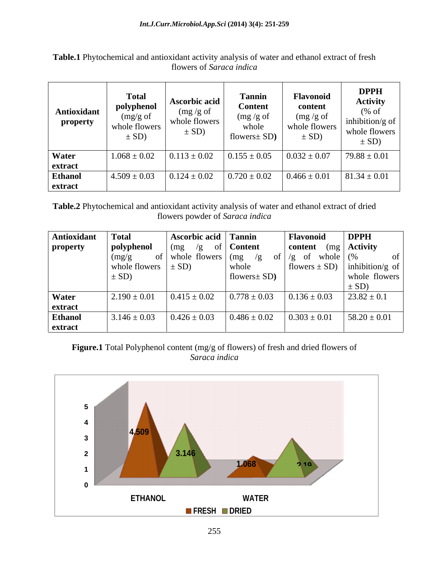**Table.1** Phytochemical and antioxidant activity analysis of water and ethanol extract of fresh flowers of *Saraca indica*

**Table.2** Phytochemical and antioxidant activity analysis of water and ethanol extract of dried flowers powder of *Saraca indica*

| Antioxidant Total |                                | Ascorbic acid Tannin     |                    | Flavonoid                            | $\vert$ DPPH     |
|-------------------|--------------------------------|--------------------------|--------------------|--------------------------------------|------------------|
| property          | polyphenol                     | (mg)                     | $\degree$   Conten | $\vert$ content (mg $\vert$ Activity |                  |
|                   | (mg)                           | of   whole flowers   (mg | - of               | $/g$ of whole $(%$                   |                  |
|                   | whole flowers $\vert \pm SD$ ) |                          | whole              | flowers $\pm$ SD) inhibition/g of    |                  |
|                   | $\pm SD$ )                     |                          | flowers $SD$ )     |                                      | whole flowers    |
|                   |                                |                          |                    |                                      |                  |
|                   |                                |                          |                    |                                      |                  |
| Water             | $2.190 \pm 0.01$               | $0.415 \pm 0.02$         | $0.778 \pm 0.03$   | $0.136 \pm 0.03$                     | $23.82 \pm 0.1$  |
| extract           |                                |                          |                    |                                      |                  |
| <b>Ethano</b>     | $3.146 \pm 0.03$               | $0.426 \pm 0.03$         | $0.486 \pm 0.02$   | $0.303 \pm 0.01$                     | $58.20 \pm 0.01$ |
| extract           |                                |                          |                    |                                      |                  |

**Figure.1** Total Polyphenol content (mg/g of flowers) of fresh and dried flowers of *Saraca indica*

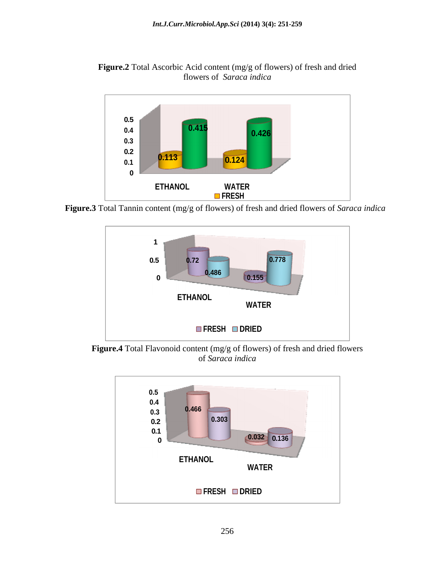**Figure.2** Total Ascorbic Acid content (mg/g of flowers) of fresh and dried<br>flowers of *Saraca indica* flowers of *Saraca indica*



**Figure.3** Total Tannin content (mg/g of flowers) of fresh and dried flowers of *Saraca indica*



**Figure.4** Total Flavonoid content (mg/g of flowers) of fresh and dried flowers of *Saraca indica* of *Saraca indica*

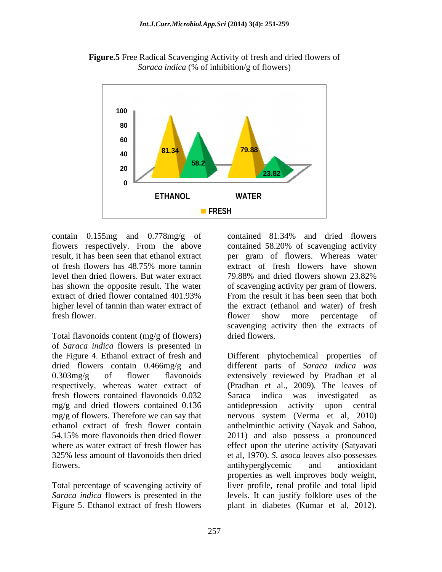



level then dried flowers. But water extract  $\qquad$  79.88% and dried flowers shown 23.82% higher level of tannin than water extract of

Total flavonoids content (mg/g of flowers) dried flowers. of *Saraca indica* flowers is presented in mg/g and dried flowers contained 0.136 antidepression activity upon central flowers. antihyperglycemic and antioxidant

contain 0.155mg and 0.778mg/g of contained 81.34% and dried flowers flowers respectively. From the above contained 58.20% of scavenging activity result, it has been seen that ethanol extract per gram of flowers. Whereas water of fresh flowers has 48.75% more tannin has shown the opposite result. The water of scavenging activity per gram of flowers. extract of dried flower contained 401.93% From the result it has been seen that both fresh flower. The flower show more percentage of contained 81.34% and dried flowers extract of fresh flowers have shown 79.88% and dried flowers shown 23.82% From the result it has been seen that both the extract (ethanol and water) of fresh flower show more percentage of scavenging activity then the extracts of dried flowers.

the Figure 4. Ethanol extract of fresh and Different phytochemical properties of dried flowers contain 0.466mg/g and different parts of *Saraca indica was* 0.303mg/g of flower flavonoids extensively reviewed by Pradhan et al respectively, whereas water extract of (Pradhan et al., 2009)*.* The leaves of fresh flowers contained flavonoids 0.032 Saraca indica was investigated as mg/g of flowers. Therefore we can say that nervous system (Verma et al, 2010) ethanol extract of fresh flower contain anthelminthic activity (Nayak and Sahoo, 54.15% more flavonoids then dried flower 2011) and also possessa pronounced where as water extract of fresh flower has effect upon the uterine activity (Satyavati 325% less amount of flavonoids then dried et al, 1970). *S. asoca* leaves also possesses Total percentage of scavenging activity of liver profile, renal profile and total lipid *Saraca indica* flowers is presented in the levels. It can justify folklore uses of the Figure 5. Ethanol extract of fresh flowers plant in diabetes (Kumar et al, 2012).antidepression activity upon central antihyperglycemic and antioxidant properties as well improves body weight,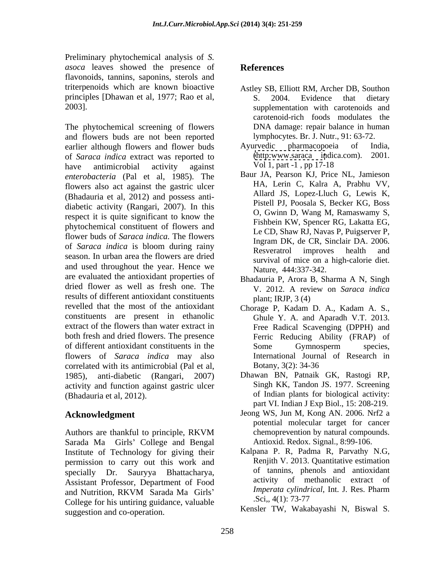Preliminary phytochemical analysis of *S. asoca* leaves showed the presence of **References** flavonoids, tannins, saponins, sterols and triterpenoids which are known bioactive Astley SB, Elliott RM, Archer DB, Southon principles [Dhawan et al, 1977; Rao et al, S. 2004. Evidence that dietary

and flowers buds are not been reported earlier although flowers and flower buds Ayurvedic pharmacopoeia of India,<br>of *Saraca indica* extract was reported to (http:www.saraca indica.com). 2001. of *Saraca indica* extract was reported to (http:www.saraca indic<br>have antimicrobial activity against Vol 1, part -1, pp 17-18 have antimicrobial activity against Voll, part 1, pp 17-18 *enterobacteria* (Pal et al, 1985). The flowers also act against the gastric ulcer (Bhadauria et al, 2012) and possess anti diabetic activity (Rangari, 2007). In this respect it is quite significant to know the phytochemical constituent of flowers and flower buds of *Saraca indica.* The flowers of *Saraca indica* is bloom during rainy<br>Resveratrol improves health and season. In urban area the flowers are dried and used throughout the year. Hence we are evaluated the antioxidant properties of dried flower as well as fresh one. The results of different antioxidant constituents plant; IRJP, 3 (4) revelled that the most of the antioxidant constituents are present in ethanolic Ghule Y. A. and Aparadh V.T. 2013. extract of the flowers than water extract in both fresh and dried flowers. The presence of different antioxidant constituents in the flowers of *Saraca indica* may also correlated with its antimicrobial (Pal et al, 1985), anti-diabetic (Rangari, 2007) Dhawan BN, Patnaik GK, Rastogi RP, activity and function against gastric ulcer (Bhadauria et al, 2012). of Indian plants for biological activity:

Authors are thankful to principle, RKVM Sarada Ma Girls' College and Bengal Institute of Technology for giving their permission to carry out this work and specially Dr. Sauryya Bhattacharya, Assistant Professor, Department of Food activity of methanolic extract of and Nutrition PKVM Sarada Ma Girls<sup>7</sup> *Imperata cylindrical*, Int. J. Res. Pharm and Nutrition, RKVM Sarada Ma Girls' *Imperata cylindrical*, Int. J. Res. Pharm College for his untiring guidance, valuable Sci., 4(1): 73-77 suggestion and co-operation.

### **References**

- 2003].<br>
2003] supplementation with carotenoids and<br>
2003] carotenoid-rich foods modulates the<br>
2003 DNA damage: repair balance in human S. 2004. Evidence that dietary supplementation with carotenoids and carotenoid-rich foods modulates the DNA damage: repair balance in human lymphocytes. Br. J. Nutr., 91: 63-72.
	- Ayurvedic pharmacopoeia of India, [\(http:www.saraca](http:www.saraca) indica.com). Vol 1, part -1 , pp 17-18
	- Baur JA, Pearson KJ, Price NL, Jamieson HA, Lerin C, Kalra A, Prabhu VV, Allard JS, Lopez-Lluch G, Lewis K, Pistell PJ, Poosala S, Becker KG, Boss O, Gwinn D, Wang M, Ramaswamy S, Fishbein KW, Spencer RG, Lakatta EG, Le CD, Shaw RJ, Navas P, Puigserver P, Ingram DK, de CR, Sinclair DA. 2006. Resveratrol improves health and survival of mice on a high-calorie diet. Nature, 444:337-342.
	- Bhadauria P, Arora B, Sharma A N, Singh V. 2012. A review on *Saraca indica* plant; IRJP, 3 (4)
	- Chorage P, Kadam D. A., Kadam A. S., Free Radical Scavenging (DPPH) and Ferric Reducing Ability (FRAP) of Some Gymnosperm species, International Journal of Research in Botany, 3(2): 34-36
	- Singh KK, Tandon JS. 1977. Screening part VI. Indian J Exp Biol., 15: 208-219.
- **Acknowledgment** Jeong WS, Jun M, Kong AN. 2006. Nrf2 a potential molecular target for cancer chemoprevention by natural compounds. Antioxid. Redox. Signal., 8:99-106.
	- Kalpana P. R, Padma R, Parvathy N.G, Renjith V. 2013. Quantitative estimation of tannins, phenols and antioxidant activity of methanolic extract of *Imperata cylindrical*, Int. J. Res. Pharm .Sci,, 4(1): 73-77
	- Kensler TW, Wakabayashi N, Biswal S.